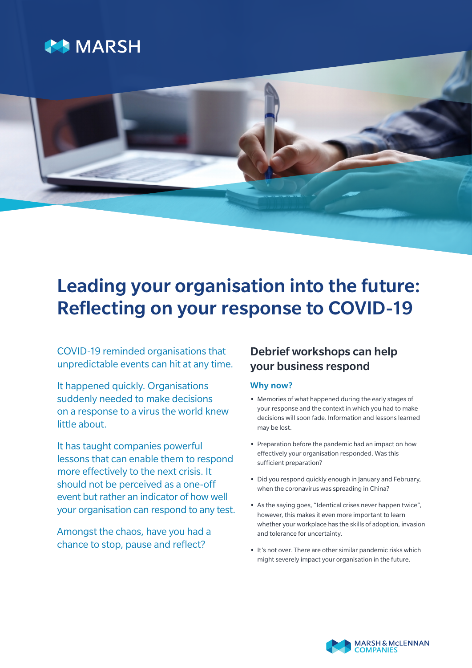



# Leading your organisation into the future: Reflecting on your response to COVID-19

COVID-19 reminded organisations that unpredictable events can hit at any time.

It happened quickly. Organisations suddenly needed to make decisions on a response to a virus the world knew little about.

It has taught companies powerful lessons that can enable them to respond more effectively to the next crisis. It should not be perceived as a one-off event but rather an indicator of how well your organisation can respond to any test.

Amongst the chaos, have you had a chance to stop, pause and reflect?

## Debrief workshops can help your business respond

### Why now?

- **•** Memories of what happened during the early stages of your response and the context in which you had to make decisions will soon fade. Information and lessons learned may be lost.
- **•** Preparation before the pandemic had an impact on how effectively your organisation responded. Was this sufficient preparation?
- **•** Did you respond quickly enough in January and February, when the coronavirus was spreading in China?
- **•** As the saying goes, "Identical crises never happen twice", however, this makes it even more important to learn whether your workplace has the skills of adoption, invasion and tolerance for uncertainty.
- **•** It's not over. There are other similar pandemic risks which might severely impact your organisation in the future.